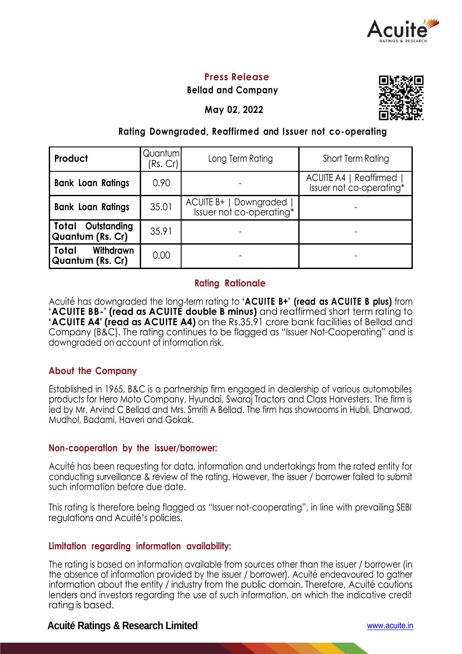

## **Press Release**

**Bellad and Company**

**May 02, 2022**



# **Rating Downgraded, Reaffirmed and I ssuer not co-operating**

| Product                                      | Quantum<br>(Rs. Cr) | Long Term Rating                                   | Short Term Rating                                    |  |  |
|----------------------------------------------|---------------------|----------------------------------------------------|------------------------------------------------------|--|--|
| <b>Bank Loan Ratings</b>                     | 0.90                |                                                    | ACUITE A4   Reaffirmed  <br>Issuer not co-operating* |  |  |
| <b>Bank Loan Ratings</b>                     | 35.01               | ACUITE B+   Downgraded<br>Issuer not co-operating* |                                                      |  |  |
| <b>Total Outstanding</b><br>Quantum (Rs. Cr) | 35.91               |                                                    |                                                      |  |  |
| Withdrawn<br>Total<br>Quantum (Rs. Cr)       | 0.00                |                                                    |                                                      |  |  |

## **Rating Rationale**

Acuité has downgraded the long-term rating to **'ACUITE B+' (read as ACUITE B plus)** from **'ACUITE BB-' (read as ACUITE double B minus)** and reaffirmed short term rating to **'ACUITE A4' (read as ACUITE A4)** on the Rs.35.91 crore bank facilities of Bellad and Company (B&C). The rating continues to be flagged as "Issuer Not-Cooperating" and is downgraded on account of information risk.

## **About the Company**

Established in 1965, B&C is a partnership firm engaged in dealership of various automobiles products for Hero Moto Company, Hyundai, Swaraj Tractors and Class Harvesters. The firm is led by Mr. Arvind C Bellad and Mrs. Smriti A Bellad. The firm has showrooms in Hubli, Dharwad, Mudhol, Badami, Haveri and Gokak.

## **Non-cooperation by the issuer/borrower:**

Acuité has been requesting for data, information and undertakings from the rated entity for conducting surveillance & review of the rating. However, the issuer / borrower failed to submit such information before due date.

This rating is therefore being flagged as "Issuer not-cooperating", in line with prevailing SEBI regulations and Acuité's policies.

## **Limitation regarding information availability:**

The rating is based on information available from sources other than the issuer / borrower (in the absence of information provided by the issuer / borrower). Acuité endeavoured to gather information about the entity / industry from the public domain. Therefore, Acuité cautions lenders and investors regarding the use of such information, on which the indicative credit rating is based.

## **Acuité Ratings & Research Limited** www.acuite.in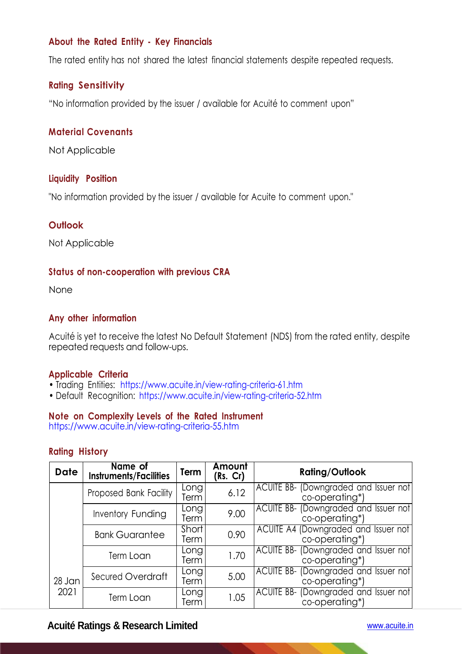## **About the Rated Entity - Key Financials**

The rated entity has not shared the latest financial statements despite repeated requests.

## **Rating Sensitivity**

"No information provided by the issuer / available for Acuité to comment upon"

### **Material Covenants**

Not Applicable

#### **Liquidity Position**

"No information provided by the issuer / available for Acuite to comment upon."

#### **Outlook**

Not Applicable

### **Status of non-cooperation with previous CRA**

None

#### **Any other information**

Acuité is yet to receive the latest No Default Statement (NDS) from the rated entity, despite repeated requests and follow-ups.

#### **Applicable Criteria**

- Trading Entities: https://www.acuite.in/view-rating-criteria-61.htm
- Default Recognition: https://www.acuite.in/view-rating-criteria-52.htm

#### **Note on Complexity Levels of the Rated Instrument**

https://www.acuite.in/view-rating-criteria-55.htm

#### **Rating History**

| <b>Date</b> | Name of<br><b>Instruments/Facilities</b> | Term          | Amount<br>(Rs. Cr) | <b>Rating/Outlook</b>                                             |
|-------------|------------------------------------------|---------------|--------------------|-------------------------------------------------------------------|
|             | Proposed Bank Facility                   | Long<br>Term  | 6.12               | ACUITE BB- (Downgraded and Issuer not)<br>co-operating*)          |
|             | Inventory Funding                        | Long<br>Term  | 9.00               | ACUITE BB- (Downgraded and Issuer not<br>co-operating*)           |
|             | <b>Bank Guarantee</b>                    | Short<br>Term | 0.90               | ACUITE A4 (Downgraded and Issuer not<br>co-operating*)            |
|             | Term Loan                                | Long<br>Term  | 1.70               | ACUITE BB- (Downgraded and Issuer not<br>co-operating*)           |
| 28 Jan      | Secured Overdraft                        | Long<br>Term  | 5.00               | (Downgraded and Issuer not<br><b>ACUITE BB-</b><br>co-operating*) |
| 2021        | Term Loan                                | Long<br>Term  | 1.05               | (Downgraded and Issuer not<br>ACUITE BB-<br>co-operating*)        |

## **Acuité Ratings & Research Limited** www.acuite.in

×.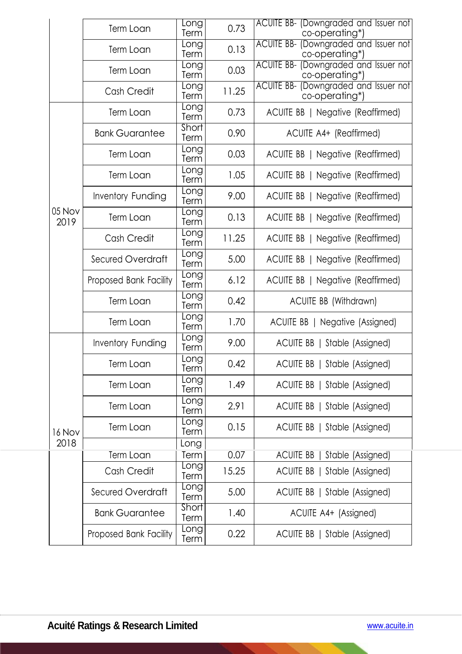|                | Term Loan                | <b>Long</b><br>Term | 0.73  | ACUITE BB- (Downgraded and Issuer not)<br>co-operating*)       |
|----------------|--------------------------|---------------------|-------|----------------------------------------------------------------|
|                | Term Loan                | Long<br>Term        | 0.13  | ACUITE BB- (Downgraded and Issuer not<br>co-operating*)        |
|                | Term Loan                | Eong<br>Term        | 0.03  | <b>ACUITE BB- (Downgraded and Issuer not</b><br>co-operating*) |
|                | Cash Credit              | Long<br>Term        | 11.25 | <b>ACUITE BB- (Downgraded and Issuer not</b><br>co-operating*) |
|                | Term Loan                | Long<br>Term        | 0.73  | ACUITE BB   Negative (Reaffirmed)                              |
|                | <b>Bank Guarantee</b>    | Short<br>Term       | 0.90  | ACUITE A4+ (Reaffirmed)                                        |
|                | Term Loan                | Long<br>Term        | 0.03  | ACUITE BB   Negative (Reaffirmed)                              |
| 05 Nov<br>2019 | Term Loan                | Long<br>Term        | 1.05  | ACUITE BB   Negative (Reaffirmed)                              |
|                | Inventory Funding        | Long<br>Term        | 9.00  | ACUITE BB   Negative (Reaffirmed)                              |
|                | Term Loan                | Long<br>Term        | 0.13  | ACUITE BB   Negative (Reaffirmed)                              |
|                | Cash Credit              | Long<br>Term        | 11.25 | ACUITE BB   Negative (Reaffirmed)                              |
|                | Secured Overdraft        | Long<br>Term        | 5.00  | ACUITE BB   Negative (Reaffirmed)                              |
|                | Proposed Bank Facility   | Long<br>Term        | 6.12  | ACUITE BB   Negative (Reaffirmed)                              |
|                | Term Loan                | Long<br>Term        | 0.42  | <b>ACUITE BB (Withdrawn)</b>                                   |
|                | Term Loan                | Long<br>Term        | 1.70  | ACUITE BB   Negative (Assigned)                                |
| 16 Nov<br>2018 | Inventory Funding        | Long<br>Term        | 9.00  | ACUITE BB   Stable (Assigned)                                  |
|                | Term Loan                | Long<br>Term        | 0.42  | ACUITE BB   Stable (Assigned)                                  |
|                | Term Loan                | Long<br>Term        | 1.49  | ACUITE BB   Stable (Assigned)                                  |
|                | Term Loan                | Eong<br>Term        | 2.91  | ACUITE BB   Stable (Assigned)                                  |
|                | Term Loan                | Long<br>Term        | 0.15  | ACUITE BB   Stable (Assigned)                                  |
|                |                          | Long                |       |                                                                |
|                | Term Loan                | Term<br>Long        | 0.07  | <b>ACUITE BB</b><br>Stable (Assigned)                          |
|                | Cash Credit              | Term                | 15.25 | ACUITE BB   Stable (Assigned)                                  |
|                | <b>Secured Overdraft</b> | Long<br>Term        | 5.00  | ACUITE BB   Stable (Assigned)                                  |
|                | <b>Bank Guarantee</b>    | Short<br>Term       | 1.40  | ACUITE A4+ (Assigned)                                          |
|                | Proposed Bank Facility   | <b>Long</b><br>Term | 0.22  | ACUITE BB   Stable (Assigned)                                  |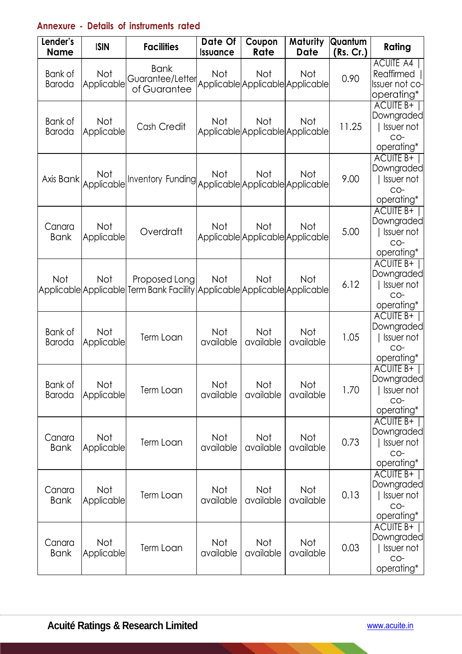# **Annexure - Details of instruments rated**

| Lender's<br><b>Name</b>  | <b>ISIN</b>              | <b>Facilities</b>                                                                          | Date Of<br><b>Issuance</b> | Coupon<br>Rate                                 | <b>Maturity</b><br><b>Date</b> | Quantum<br>(Rs. Cr.) | Rating                                                                   |
|--------------------------|--------------------------|--------------------------------------------------------------------------------------------|----------------------------|------------------------------------------------|--------------------------------|----------------------|--------------------------------------------------------------------------|
| Bank of<br><b>Baroda</b> | Not<br>Applicable        | <b>Bank</b><br>Guarantee/Letter<br>of Guarantee                                            | Not                        | Not<br>Applicable Applicable Applicable        | Not                            | 0.90                 | <b>ACUITE A4</b><br>Reaffirmed  <br>Issuer not co-<br>operating*         |
| Bank of<br>Baroda        | Not<br>Applicable        | Cash Credit                                                                                | <b>Not</b>                 | Not<br>Applicable Applicable Applicable        | Not                            | 11.25                | ACUITE B+<br>Downgraded<br>Issuer not<br>CO-<br>operating*               |
| Axis Bank                | Not<br>Applicable        | Inventory Funding <br> Applicable Applicable Applicable Applicable                         | Not                        | Not                                            | <b>Not</b>                     | 9.00                 | ACUITE B+<br>Downgraded<br>Issuer not<br>CO-<br>operating*               |
| Canara<br><b>Bank</b>    | Not<br>Applicable        | Overdraft                                                                                  | <b>Not</b>                 | <b>Not</b><br>Applicable Applicable Applicable | Not                            | 5.00                 | <b>ACUITE B+</b><br>Downgraded<br>Issuer not<br>$CO-$<br>operating*      |
| <b>Not</b>               | Not                      | Proposed Long<br>Applicable Applicable Term Bank Facility Applicable Applicable Applicable | Not                        | Not                                            | Not                            | 6.12                 | <b>ACUITE B+</b><br>Downgraded<br>Issuer not<br>CO-<br>operating*        |
| Bank of<br><b>Baroda</b> | Not<br>Applicable        | Term Loan                                                                                  | Not<br>available           | <b>Not</b><br>available                        | Not<br>available               | 1.05                 | <b>ACUITE B+</b><br>Downgraded<br>Issuer not<br>CO-<br>operating*        |
| Bank of<br>Baroda        | <b>Not</b><br>Applicable | Term Loan                                                                                  | Not<br>available           | Not<br>available                               | Not<br>available               | 1.70                 | <b>ACUITE B+</b><br>Downgraded<br><b>Issuer not</b><br>CO-<br>operating* |
| Canara<br><b>Bank</b>    | Not<br>Applicable        | Term Loan                                                                                  | Not<br>available           | Not<br>available                               | Not<br>available               | 0.73                 | <b>ACUITE B+</b><br>Downgraded<br>Issuer not<br>CO-<br>operating*        |
| Canara<br><b>Bank</b>    | Not<br>Applicable        | Term Loan                                                                                  | Not<br>available           | Not<br>available                               | Not<br>available               | 0.13                 | ACUITE B+<br>Downgraded<br>Issuer not<br>CO-<br>operating*               |
| Canara<br><b>Bank</b>    | Not<br>Applicable        | Term Loan                                                                                  | Not<br>available           | Not<br>available                               | Not<br>available               | 0.03                 | ACUITE B+<br>Downgraded<br><b>Issuer not</b><br>CO-<br>operating*        |